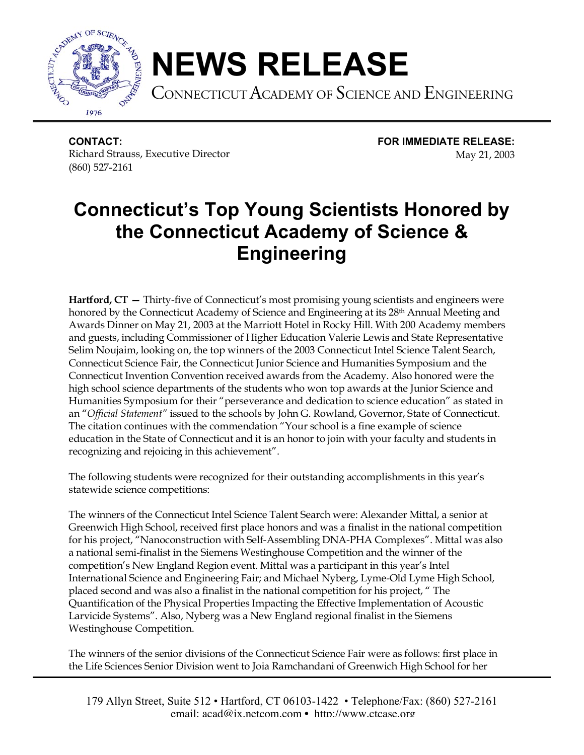

## **NEWS RELEASE**

CONNECTICUT ACADEMY OF SCIENCE AND ENGINEERING

**CONTACT: FOR IMMEDIATE RELEASE:** Richard Strauss, Executive Director May 21, 2003 (860) 527-2161

## **Connecticut's Top Young Scientists Honored by the Connecticut Academy of Science & Engineering**

**Hartford, CT —** Thirty-five of Connecticut's most promising young scientists and engineers were honored by the Connecticut Academy of Science and Engineering at its 28<sup>th</sup> Annual Meeting and Awards Dinner on May 21, 2003 at the Marriott Hotel in Rocky Hill. With 200 Academy members and guests, including Commissioner of Higher Education Valerie Lewis and State Representative Selim Noujaim, looking on, the top winners of the 2003 Connecticut Intel Science Talent Search, Connecticut Science Fair, the Connecticut Junior Science and Humanities Symposium and the Connecticut Invention Convention received awards from the Academy. Also honored were the high school science departments of the students who won top awards at the Junior Science and Humanities Symposium for their "perseverance and dedication to science education" as stated in an "*Official Statement"* issued to the schools by John G. Rowland, Governor, State of Connecticut. The citation continues with the commendation "Your school is a fine example of science education in the State of Connecticut and it is an honor to join with your faculty and students in recognizing and rejoicing in this achievement".

The following students were recognized for their outstanding accomplishments in this year's statewide science competitions:

The winners of the Connecticut Intel Science Talent Search were: Alexander Mittal, a senior at Greenwich High School, received first place honors and was a finalist in the national competition for his project, "Nanoconstruction with Self-Assembling DNA-PHA Complexes". Mittal was also a national semi-finalist in the Siemens Westinghouse Competition and the winner of the competition's New England Region event. Mittal was a participant in this year's Intel International Science and Engineering Fair; and Michael Nyberg, Lyme-Old Lyme High School, placed second and was also a finalist in the national competition for his project, " The Quantification of the Physical Properties Impacting the Effective Implementation of Acoustic Larvicide Systems". Also, Nyberg was a New England regional finalist in the Siemens Westinghouse Competition.

The winners of the senior divisions of the Connecticut Science Fair were as follows: first place in the Life Sciences Senior Division went to Joia Ramchandani of Greenwich High School for her

179 Allyn Street, Suite 512 • Hartford, CT 06103-1422 • Telephone/Fax: (860) 527-2161 email: acad@ix.netcom.com • http://www.ctcase.org